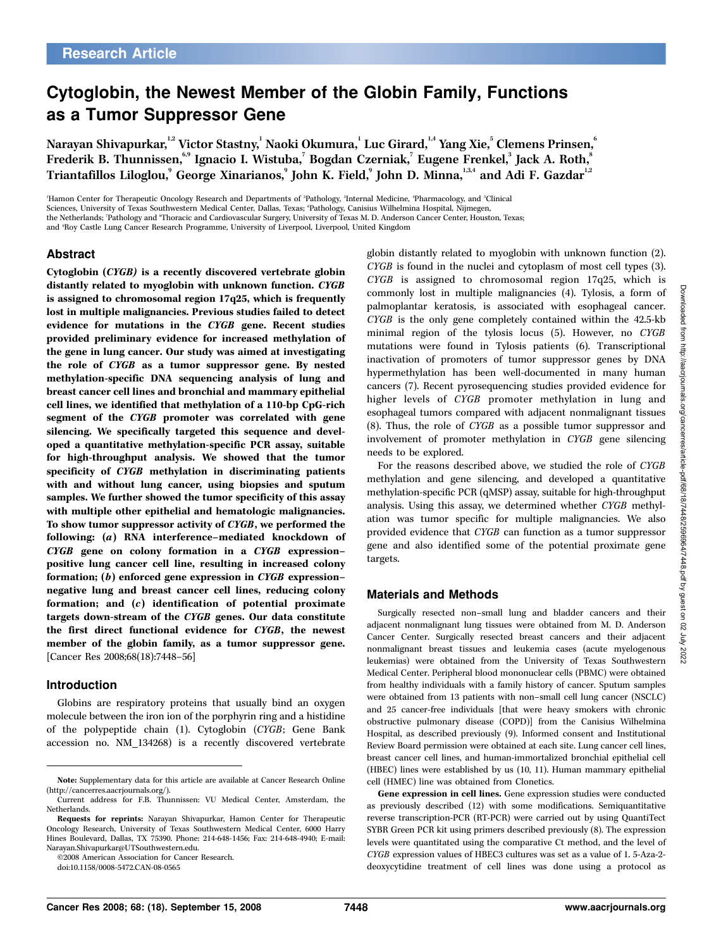# Cytoglobin, the Newest Member of the Globin Family, Functions as a Tumor Suppressor Gene

Narayan Shivapurkar, $^{\text{1,2}}$  Victor Stastny, $^{\text{1}}$  Naoki Okumura, $^{\text{1}}$  Luc Girard, $^{\text{1,4}}$  Yang Xie, $^{\text{5}}$  Clemens Prinsen, $^{\text{6}}$ Frederik B. Thunnissen, $^{\epsilon,9}$  Ignacio I. Wistuba, $^7$  Bogdan Czerniak, $^7$  Eugene Frenkel, $^3$  Jack A. Roth, $^8$ Triantafillos Liloglou, $^{\circ}$  George Xinarianos, $^{\circ}$  John K. Field, $^{\circ}$  John D. Minna, $^{\rm I,3,4}$  and Adi F. Gazdar $^{\rm I,2}$ 

'Hamon Center for Therapeutic Oncology Research and Departments of <sup>2</sup>Pathology, <sup>3</sup>Internal Medicine, 'Pharmacology, and <sup>5</sup>Clinical Sciences, University of Texas Southwestern Medical Center, Dallas, Texas; 'Pathology, Canisius Wilhelmina Hospital, Nijmegen, the Netherlands; 'Pathology and \*Thoracic and Cardiovascular Surgery, University of Texas M. D. Anderson Cancer Center, Houston, Texas; and <sup>9</sup> Roy Castle Lung Cancer Research Programme, University of Liverpool, Liverpool, United Kingdom

### Abstract

Cytoglobin (CYGB) is a recently discovered vertebrate globin distantly related to myoglobin with unknown function. CYGB is assigned to chromosomal region 17q25, which is frequently lost in multiple malignancies. Previous studies failed to detect evidence for mutations in the CYGB gene. Recent studies provided preliminary evidence for increased methylation of the gene in lung cancer. Our study was aimed at investigating the role of CYGB as a tumor suppressor gene. By nested methylation-specific DNA sequencing analysis of lung and breast cancer cell lines and bronchial and mammary epithelial cell lines, we identified that methylation of a 110-bp CpG-rich segment of the CYGB promoter was correlated with gene silencing. We specifically targeted this sequence and developed a quantitative methylation-specific PCR assay, suitable for high-throughput analysis. We showed that the tumor specificity of CYGB methylation in discriminating patients with and without lung cancer, using biopsies and sputum samples. We further showed the tumor specificity of this assay with multiple other epithelial and hematologic malignancies. To show tumor suppressor activity of CYGB, we performed the following: (a) RNA interference–mediated knockdown of CYGB gene on colony formation in a CYGB expression– positive lung cancer cell line, resulting in increased colony formation; (b) enforced gene expression in CYGB expression– negative lung and breast cancer cell lines, reducing colony formation; and (c) identification of potential proximate targets down-stream of the CYGB genes. Our data constitute the first direct functional evidence for CYGB, the newest member of the globin family, as a tumor suppressor gene. [Cancer Res 2008;68(18):7448–56]

#### Introduction

Globins are respiratory proteins that usually bind an oxygen molecule between the iron ion of the porphyrin ring and a histidine of the polypeptide chain (1). Cytoglobin (CYGB; Gene Bank accession no. NM\_134268) is a recently discovered vertebrate

 $\overline{02008}$  American Association for Cancer Research.

doi:10.1158/0008-5472.CAN-08-0565

globin distantly related to myoglobin with unknown function (2). CYGB is found in the nuclei and cytoplasm of most cell types (3). CYGB is assigned to chromosomal region 17q25, which is commonly lost in multiple malignancies (4). Tylosis, a form of palmoplantar keratosis, is associated with esophageal cancer. CYGB is the only gene completely contained within the 42.5-kb minimal region of the tylosis locus (5). However, no CYGB mutations were found in Tylosis patients (6). Transcriptional inactivation of promoters of tumor suppressor genes by DNA hypermethylation has been well-documented in many human cancers (7). Recent pyrosequencing studies provided evidence for higher levels of CYGB promoter methylation in lung and esophageal tumors compared with adjacent nonmalignant tissues (8). Thus, the role of CYGB as a possible tumor suppressor and involvement of promoter methylation in CYGB gene silencing needs to be explored.

For the reasons described above, we studied the role of CYGB methylation and gene silencing, and developed a quantitative methylation-specific PCR (qMSP) assay, suitable for high-throughput analysis. Using this assay, we determined whether CYGB methylation was tumor specific for multiple malignancies. We also provided evidence that CYGB can function as a tumor suppressor gene and also identified some of the potential proximate gene targets.

#### Materials and Methods

Surgically resected non–small lung and bladder cancers and their adjacent nonmalignant lung tissues were obtained from M. D. Anderson Cancer Center. Surgically resected breast cancers and their adjacent nonmalignant breast tissues and leukemia cases (acute myelogenous leukemias) were obtained from the University of Texas Southwestern Medical Center. Peripheral blood mononuclear cells (PBMC) were obtained from healthy individuals with a family history of cancer. Sputum samples were obtained from 13 patients with non–small cell lung cancer (NSCLC) and 25 cancer-free individuals [that were heavy smokers with chronic obstructive pulmonary disease (COPD)] from the Canisius Wilhelmina Hospital, as described previously (9). Informed consent and Institutional Review Board permission were obtained at each site. Lung cancer cell lines, breast cancer cell lines, and human-immortalized bronchial epithelial cell (HBEC) lines were established by us (10, 11). Human mammary epithelial cell (HMEC) line was obtained from Clonetics.

Gene expression in cell lines. Gene expression studies were conducted as previously described (12) with some modifications. Semiquantitative reverse transcription-PCR (RT-PCR) were carried out by using QuantiTect SYBR Green PCR kit using primers described previously (8). The expression levels were quantitated using the comparative Ct method, and the level of CYGB expression values of HBEC3 cultures was set as a value of 1. 5-Aza-2 deoxycytidine treatment of cell lines was done using a protocol as

Note: Supplementary data for this article are available at Cancer Research Online (http://cancerres.aacrjournals.org/).

Current address for F.B. Thunnissen: VU Medical Center, Amsterdam, the Netherlands.

Requests for reprints: Narayan Shivapurkar, Hamon Center for Therapeutic Oncology Research, University of Texas Southwestern Medical Center, 6000 Harry Hines Boulevard, Dallas, TX 75390. Phone: 214-648-1456; Fax: 214-648-4940; E-mail: Narayan.Shivapurkar@UTSouthwestern.edu.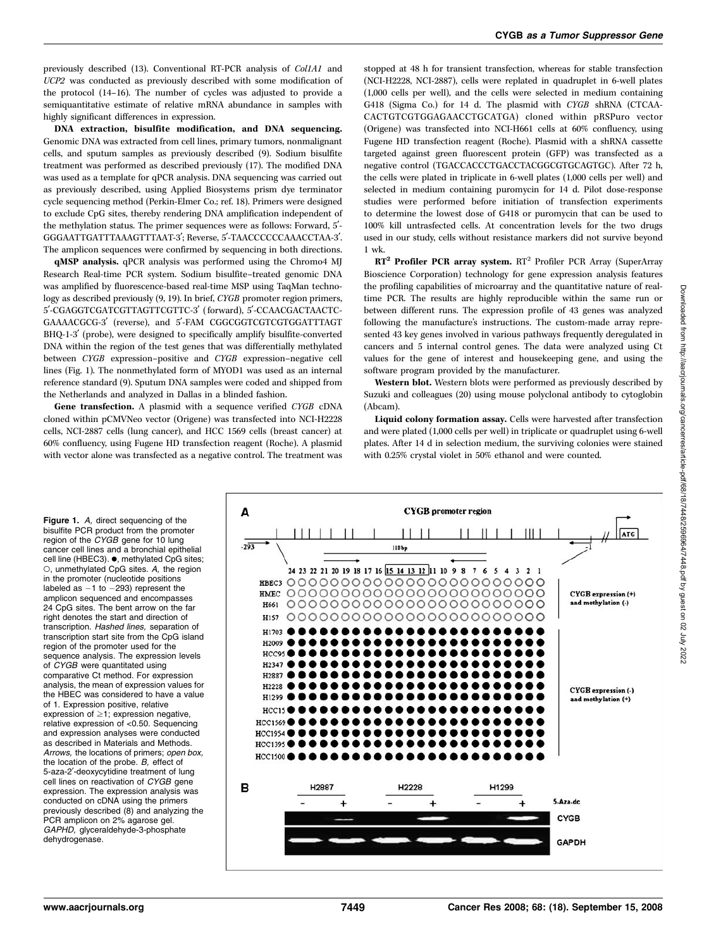previously described (13). Conventional RT-PCR analysis of Col1A1 and UCP2 was conducted as previously described with some modification of the protocol (14–16). The number of cycles was adjusted to provide a semiquantitative estimate of relative mRNA abundance in samples with highly significant differences in expression.

DNA extraction, bisulfite modification, and DNA sequencing. Genomic DNA was extracted from cell lines, primary tumors, nonmalignant cells, and sputum samples as previously described (9). Sodium bisulfite treatment was performed as described previously (17). The modified DNA was used as a template for qPCR analysis. DNA sequencing was carried out as previously described, using Applied Biosystems prism dye terminator cycle sequencing method (Perkin-Elmer Co.; ref. 18). Primers were designed to exclude CpG sites, thereby rendering DNA amplification independent of the methylation status. The primer sequences were as follows: Forward, 5'-GGGAATTGATTTAAAGTTTAAT-3'; Reverse, 5'-TAACCCCCCAAACCTAA-3'. The amplicon sequences were confirmed by sequencing in both directions.

qMSP analysis. qPCR analysis was performed using the Chromo4 MJ Research Real-time PCR system. Sodium bisulfite–treated genomic DNA was amplified by fluorescence-based real-time MSP using TaqMan technology as described previously (9, 19). In brief, CYGB promoter region primers, 5'-CGAGGTCGATCGTTAGTTCGTTC-3' (forward), 5'-CCAACGACTAACTC-GAAAACGCG-3' (reverse), and 5'-FAM CGGCGGTCGTCGTGGATTTAGT BHQ-1-3<sup>'</sup> (probe), were designed to specifically amplify bisulfite-converted DNA within the region of the test genes that was differentially methylated between CYGB expression–positive and CYGB expression–negative cell lines (Fig. 1). The nonmethylated form of MYOD1 was used as an internal reference standard (9). Sputum DNA samples were coded and shipped from the Netherlands and analyzed in Dallas in a blinded fashion.

Gene transfection. A plasmid with a sequence verified CYGB cDNA cloned within pCMVNeo vector (Origene) was transfected into NCI-H2228 cells, NCI-2887 cells (lung cancer), and HCC 1569 cells (breast cancer) at 60% confluency, using Fugene HD transfection reagent (Roche). A plasmid with vector alone was transfected as a negative control. The treatment was

stopped at 48 h for transient transfection, whereas for stable transfection (NCI-H2228, NCI-2887), cells were replated in quadruplet in 6-well plates (1,000 cells per well), and the cells were selected in medium containing G418 (Sigma Co.) for 14 d. The plasmid with CYGB shRNA (CTCAA-CACTGTCGTGGAGAACCTGCATGA) cloned within pRSPuro vector (Origene) was transfected into NCI-H661 cells at 60% confluency, using Fugene HD transfection reagent (Roche). Plasmid with a shRNA cassette targeted against green fluorescent protein (GFP) was transfected as a negative control (TGACCACCCTGACCTACGGCGTGCAGTGC). After 72 h, the cells were plated in triplicate in 6-well plates (1,000 cells per well) and selected in medium containing puromycin for 14 d. Pilot dose-response studies were performed before initiation of transfection experiments to determine the lowest dose of G418 or puromycin that can be used to 100% kill untrasfected cells. At concentration levels for the two drugs used in our study, cells without resistance markers did not survive beyond 1 wk.

RT2 Profiler PCR array system. RT<sup>2</sup> Profiler PCR Array (SuperArray Bioscience Corporation) technology for gene expression analysis features the profiling capabilities of microarray and the quantitative nature of realtime PCR. The results are highly reproducible within the same run or between different runs. The expression profile of 43 genes was analyzed following the manufacture's instructions. The custom-made array represented 43 key genes involved in various pathways frequently deregulated in cancers and 5 internal control genes. The data were analyzed using Ct values for the gene of interest and housekeeping gene, and using the software program provided by the manufacturer.

Western blot. Western blots were performed as previously described by Suzuki and colleagues (20) using mouse polyclonal antibody to cytoglobin (Abcam).

Liquid colony formation assay. Cells were harvested after transfection and were plated (1,000 cells per well) in triplicate or quadruplet using 6-well plates. After 14 d in selection medium, the surviving colonies were stained with 0.25% crystal violet in 50% ethanol and were counted.

Figure 1. A, direct sequencing of the bisulfite PCR product from the promoter region of the CYGB gene for 10 lung cancer cell lines and a bronchial epithelial cell line (HBEC3). ., methylated CpG sites; o,unmethylated CpG sites. A, the region in the promoter (nucleotide positions labeled as  $-1$  to  $-293$ ) represent the amplicon sequenced and encompasses 24 CpG sites. The bent arrow on the far right denotes the start and direction of transcription. Hashed lines, separation of transcription start site from the CpG island region of the promoter used for the sequence analysis. The expression levels of CYGB were quantitated using comparative Ct method. For expression analysis, the mean of expression values for the HBEC was considered to have a value of 1. Expression positive, relative expression of  $\geq$ 1; expression negative, relative expression of <0.50. Sequencing and expression analyses were conducted as described in Materials and Methods. Arrows, the locations of primers; open box, the location of the probe. B, effect of 5-aza-2'-deoxycytidine treatment of lung cell lines on reactivation of CYGB gene expression. The expression analysis was conducted on cDNA using the primers previously described (8) and analyzing the PCR amplicon on 2% agarose gel. GAPHD, glyceraldehyde-3-phosphate dehydrogenase.

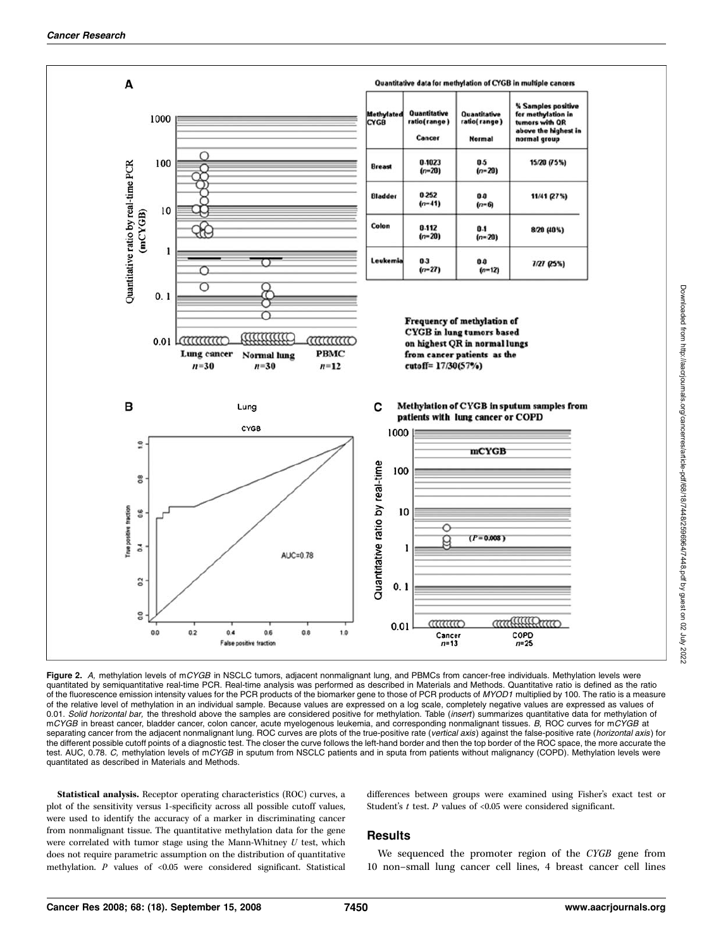

Downloaded from http://aacrjournals.org/cancerres/article-pdf/68/18/7448/2596964/7448.pdf by guest on 02 July 2022 Downloaded from http://aacrjournals.org/cancerres/article-pdf/68/18/7448/2596964/7448.pdf by guest on 02 July 2022

Figure 2. A, methylation levels of mCYGB in NSCLC tumors, adjacent nonmalignant lung, and PBMCs from cancer-free individuals. Methylation levels were quantitated by semiquantitative real-time PCR. Real-time analysis was performed as described in Materials and Methods. Quantitative ratio is defined as the ratio of the fluorescence emission intensity values for the PCR products of the biomarker gene to those of PCR products of MYOD1 multiplied by 100. The ratio is a measure of the relative level of methylation in an individual sample. Because values are expressed on a log scale, completely negative values are expressed as values of 0.01. Solid horizontal bar, the threshold above the samples are considered positive for methylation. Table (insert) summarizes quantitative data for methylation of mCYGB in breast cancer, bladder cancer, colon cancer, acute myelogenous leukemia, and corresponding nonmalignant tissues. B, ROC curves for mCYGB at separating cancer from the adjacent nonmalignant lung. ROC curves are plots of the true-positive rate (vertical axis) against the false-positive rate (horizontal axis) for the different possible cutoff points of a diagnostic test. The closer the curve follows the left-hand border and then the top border of the ROC space, the more accurate the test. AUC, 0.78. C, methylation levels of mCYGB in sputum from NSCLC patients and in sputa from patients without malignancy (COPD). Methylation levels were quantitated as described in Materials and Methods.

Statistical analysis. Receptor operating characteristics (ROC) curves, a plot of the sensitivity versus 1-specificity across all possible cutoff values, were used to identify the accuracy of a marker in discriminating cancer from nonmalignant tissue. The quantitative methylation data for the gene were correlated with tumor stage using the Mann-Whitney  $U$  test, which does not require parametric assumption on the distribution of quantitative methylation.  $P$  values of <0.05 were considered significant. Statistical

#### differences between groups were examined using Fisher's exact test or Student's  $t$  test.  $P$  values of <0.05 were considered significant.

#### **Results**

We sequenced the promoter region of the CYGB gene from 10 non–small lung cancer cell lines, 4breast cancer cell lines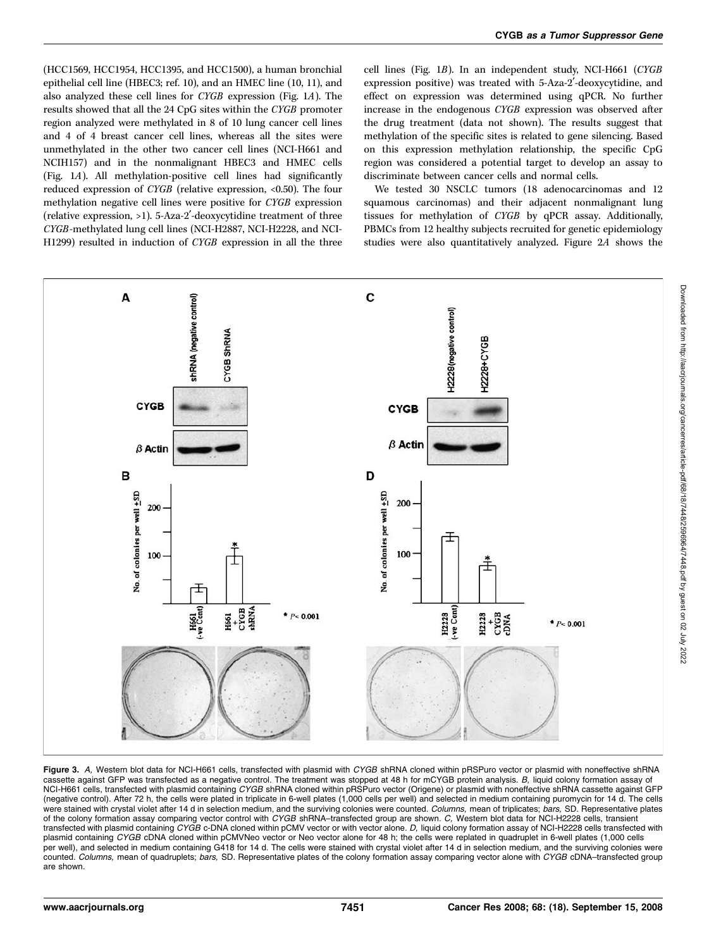(HCC1569, HCC1954, HCC1395, and HCC1500), a human bronchial epithelial cell line (HBEC3; ref. 10), and an HMEC line (10, 11), and also analyzed these cell lines for CYGB expression (Fig. 1A). The results showed that all the 24CpG sites within the CYGB promoter region analyzed were methylated in 8 of 10 lung cancer cell lines and 4of 4breast cancer cell lines, whereas all the sites were unmethylated in the other two cancer cell lines (NCI-H661 and NCIH157) and in the nonmalignant HBEC3 and HMEC cells (Fig. 1A). All methylation-positive cell lines had significantly reduced expression of CYGB (relative expression, <0.50). The four methylation negative cell lines were positive for CYGB expression (relative expression, >1). 5-Aza-2'-deoxycytidine treatment of three CYGB-methylated lung cell lines (NCI-H2887, NCI-H2228, and NCI-H1299) resulted in induction of CYGB expression in all the three cell lines (Fig. 1B). In an independent study, NCI-H661 (CYGB expression positive) was treated with 5-Aza-2'-deoxycytidine, and effect on expression was determined using qPCR. No further increase in the endogenous CYGB expression was observed after the drug treatment (data not shown). The results suggest that methylation of the specific sites is related to gene silencing. Based on this expression methylation relationship, the specific CpG region was considered a potential target to develop an assay to discriminate between cancer cells and normal cells.

We tested 30 NSCLC tumors (18 adenocarcinomas and 12 squamous carcinomas) and their adjacent nonmalignant lung tissues for methylation of CYGB by qPCR assay. Additionally, PBMCs from 12 healthy subjects recruited for genetic epidemiology studies were also quantitatively analyzed. Figure 2A shows the



Figure 3. A, Western blot data for NCI-H661 cells, transfected with plasmid with CYGB shRNA cloned within pRSPuro vector or plasmid with noneffective shRNA cassette against GFP was transfected as a negative control. The treatment was stopped at 48 h for mCYGB protein analysis. B, liquid colony formation assay of NCI-H661 cells, transfected with plasmid containing CYGB shRNA cloned within pRSPuro vector (Origene) or plasmid with noneffective shRNA cassette against GFP (negative control). After 72 h,the cells were plated in triplicate in 6-well plates (1,000 cells per well) and selected in medium containing puromycin for 14 d. The cells were stained with crystal violet after 14 d in selection medium, and the surviving colonies were counted. Columns, mean of triplicates; bars, SD. Representative plates of the colony formation assay comparing vector control with CYGB shRNA-transfected group are shown. C, Western blot data for NCI-H2228 cells, transient transfected with plasmid containing CYGB c-DNA cloned within pCMV vector or with vector alone. D, liquid colony formation assay of NCI-H2228 cells transfected with plasmid containing CYGB cDNA cloned within pCMVNeo vector or Neo vector alone for 48 h; the cells were replated in quadruplet in 6-well plates (1,000 cells per well), and selected in medium containing G418 for 14 d. The cells were stained with crystal violet after 14 d in selection medium, and the surviving colonies were counted. Columns, mean of quadruplets; bars, SD. Representative plates of the colony formation assay comparing vector alone with CYGB cDNA-transfected group are shown.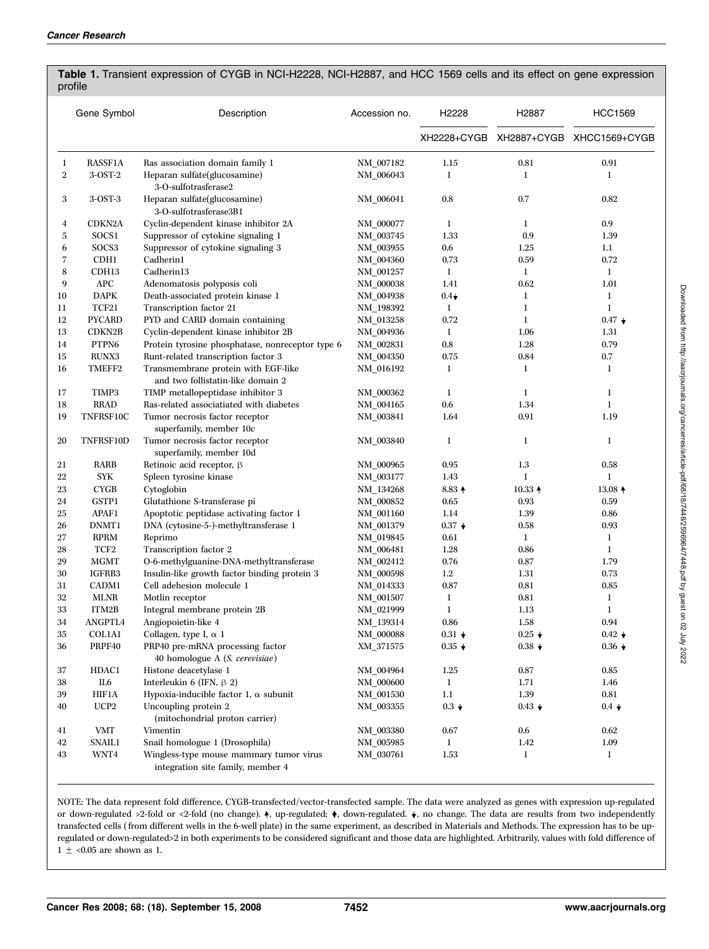|                  | Gene Symbol         | Description                                                                  | Accession no.    | H2228            | H <sub>2887</sub> | <b>HCC1569</b>                        |
|------------------|---------------------|------------------------------------------------------------------------------|------------------|------------------|-------------------|---------------------------------------|
|                  |                     |                                                                              |                  |                  |                   | XH2228+CYGB XH2887+CYGB XHCC1569+CYGB |
| 1                | <b>RASSF1A</b>      | Ras association domain family 1                                              | NM_007182        | 1.15             | 0.81              | 0.91                                  |
| $\boldsymbol{2}$ | 3-OST-2             | Heparan sulfate(glucosamine)<br>3-O-sulfotrasferase2                         | NM_006043        | 1                | 1                 | $\bf{l}$                              |
| 3                | $3-OST-3$           | Heparan sulfate(glucosamine)<br>3-O-sulfotrasferase3B1                       | NM_006041        | 0.8              | 0.7               | 0.82                                  |
| $\overline{4}$   | CDKN2A              | Cyclin-dependent kinase inhibitor 2A                                         | NM_000077        | 1                | 1                 | 0.9                                   |
| 5                | SOCS1               | Suppressor of cytokine signaling 1                                           | NM_003745        | 1.33             | 0.9               | 1.39                                  |
| 6                | SOCS3               | Suppressor of cytokine signaling 3                                           | NM_003955        | 0.6              | 1.25              | $1.1\,$                               |
| 7                | CDH <sub>1</sub>    | Cadherin1                                                                    | NM_004360        | 0.73             | 0.59              | 0.72                                  |
| 8                | CDH13               | Cadherin13                                                                   | NM_001257        | 1                | 1                 | 1                                     |
| 9                | <b>APC</b>          | Adenomatosis polyposis coli                                                  | $\rm NM\_000038$ | 1.41             | 0.62              | 1.01                                  |
| 10               | <b>DAPK</b>         | Death-associated protein kinase 1                                            | NM_004938        | $0.4\star$       | 1                 | 1                                     |
| 11               | TCF21               | Transcription factor 21                                                      | NM_198392        | 1                | 1                 | 1                                     |
| 12               | <b>PYCARD</b>       | PYD and CARD domain containing                                               | NM_013258        | 0.72             | 1                 | $0.47 +$                              |
| 13               | CDKN <sub>2</sub> B | Cyclin-dependent kinase inhibitor 2B                                         | NM_004936        | 1                | 1.06              | 1.31                                  |
| 14               | PTPN6               | Protein tyrosine phosphatase, nonreceptor type 6                             | NM_002831        | 0.8              | 1.28              | 0.79                                  |
| 15               | <b>RUNX3</b>        | Runt-related transcription factor 3                                          | NM 004350        | 0.75             | 0.84              | 0.7                                   |
| 16               | TMEFF2              | Transmembrane protein with EGF-like<br>and two follistatin-like domain 2     | NM_016192        | 1                | 1                 | $\bf{l}$                              |
| 17               | TIMP3               | TIMP metallopeptidase inhibitor 3                                            | NM_000362        | 1                | 1                 | 1                                     |
| 18               | <b>RRAD</b>         | Ras-related associatiated with diabetes                                      | NM_004165        | 0.6              | 1.34              | $\mathbf{1}$                          |
| 19               | TNFRSF10C           | Tumor necrosis factor receptor<br>superfamily, member 10c                    | NM_003841        | 1.64             | 0.91              | 1.19                                  |
| 20               | TNFRSF10D           | Tumor necrosis factor receptor<br>superfamily, member 10d                    | NM_003840        | $\bf{l}$         | 1                 | $\bf{l}$                              |
| 21               | RARB                | Retinoic acid receptor, β                                                    | NM_000965        | 0.95             | 1.3               | 0.58                                  |
| 22               | <b>SYK</b>          | Spleen tyrosine kinase                                                       | NM_003177        | 1.43             | 1                 | $\bf{l}$                              |
| 23               | <b>CYGB</b>         | Cytoglobin                                                                   | NM_134268        | 8.83 4           | $10.33 +$         | $13.08 +$                             |
| 24               | GSTP1               | Glutathione S-transferase pi                                                 | NM_000852        | 0.65             | 0.93              | 0.59                                  |
| 25               | APAF1               | Apoptotic peptidase activating factor 1                                      | NM_001160        | 1.14             | 1.39              | 0.86                                  |
| 26               | DNMT1               | DNA (cytosine-5-)-methyltransferase 1                                        | NM_001379        | $0.37 \star$     | 0.58              | 0.93                                  |
| 27               | <b>RPRM</b>         | Reprimo                                                                      | NM_019845        | 0.61             | 1                 | 1                                     |
| 28               | TCF <sub>2</sub>    | Transcription factor 2                                                       | NM_006481        | 1.28             | 0.86              | 1                                     |
| 29               | <b>MGMT</b>         | O-6-methylguanine-DNA-methyltransferase                                      | NM_002412        | 0.76             | 0.87              | 1.79                                  |
| 30               | IGFRB3              | Insulin-like growth factor binding protein 3                                 | NM_000598        | $1.2\,$          | 1.31              | 0.73                                  |
| 31               | CADM1               | Cell adehesion molecule 1                                                    | NM_014333        | 0.87             | 0.81              | 0.85                                  |
| 32               | <b>MLNR</b>         | Motlin receptor                                                              | NM_001507        | 1                | 0.81              | 1                                     |
| 33               | ITM2B               | Integral membrane protein 2B                                                 | NM 021999        | $\bf{l}$         | 1.13              | $\bf{l}$                              |
| 34               | ANGPTL4             | Angiopoietin-like 4                                                          | NM_139314        | 0.86             | 1.58              | 0.94                                  |
| $35\,$           | <b>COL1A1</b>       | Collagen, type I, $\alpha$ 1                                                 | NM_000088        | $0.31\,$ $\star$ | $0.25 +$          | $0.42 \star$                          |
| 36               | PRPF40              | PRP40 pre-mRNA processing factor<br>40 homologue A (S. cerevisiae)           | XM_371575        | $0.35 +$         | $0.38 +$          | $0.36\star$                           |
| 37               | HDAC1               | Histone deacetylase 1                                                        | NM_004964        | 1.25             | 0.87              | 0.85                                  |
| 38               | IL <sub>6</sub>     | Interleukin 6 (IFN, $\beta$ 2)                                               | NM_000600        | $\mathbf{1}$     | 1.71              | 1.46                                  |
| 39               | <b>HIF1A</b>        | Hypoxia-inducible factor 1, $\alpha$ subunit                                 | NM_001530        | $1.1\,$          | 1.39              | 0.81                                  |
| 40               | UCP2                | Uncoupling protein 2<br>(mitochondrial proton carrier)                       | NM_003355        | $0.3 +$          | $0.43 +$          | $0.4 \star$                           |
| 41               | VMT                 | Vimentin                                                                     | NM_003380        | 0.67             | 0.6               | 0.62                                  |
| 42               | <b>SNAIL1</b>       | Snail homologue 1 (Drosophila)                                               | NM_005985        | $\mathbf{1}$     | 1.42              | 1.09                                  |
| 43               | WNT4                | Wingless-type mouse mammary tumor virus<br>integration site family, member 4 | NM_030761        | 1.53             | 1                 | 1                                     |

### Table 1. Transient expression of CYGB in NCI-H2228, NCI-H2887, and HCC 1569 cells and its effect on gene expression profile

NOTE: The data represent fold difference, CYGB-transfected/vector-transfected sample. The data were analyzed as genes with expression up-regulated or down-regulated >2-fold or <2-fold (no change).  $\dagger$ , up-regulated;  $\dagger$ , down-regulated.  $\dagger$ , no change. The data are results from two independently transfected cells (from different wells in the 6-well plate) in the same experiment, as described in Materials and Methods. The expression has to be upregulated or down-regulated>2 in both experiments to be considered significant and those data are highlighted. Arbitrarily, values with fold difference of 1  $\pm$  <0.05 are shown as 1.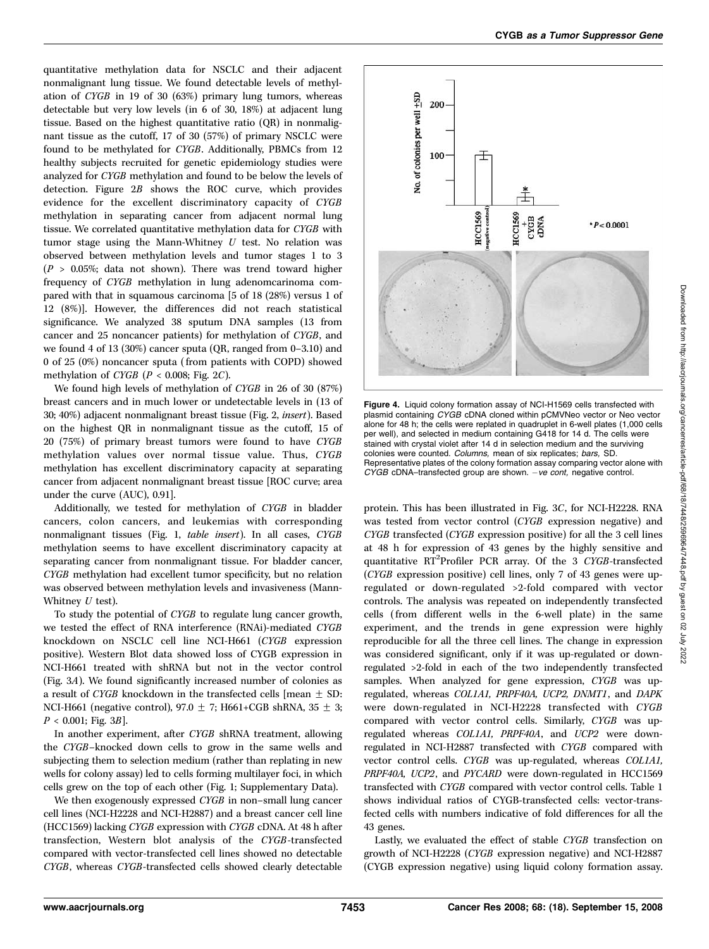quantitative methylation data for NSCLC and their adjacent nonmalignant lung tissue. We found detectable levels of methylation of CYGB in 19 of 30 (63%) primary lung tumors, whereas detectable but very low levels (in 6 of 30, 18%) at adjacent lung tissue. Based on the highest quantitative ratio (QR) in nonmalignant tissue as the cutoff, 17 of 30 (57%) of primary NSCLC were found to be methylated for CYGB. Additionally, PBMCs from 12 healthy subjects recruited for genetic epidemiology studies were analyzed for CYGB methylation and found to be below the levels of detection. Figure 2B shows the ROC curve, which provides evidence for the excellent discriminatory capacity of CYGB methylation in separating cancer from adjacent normal lung tissue. We correlated quantitative methylation data for CYGB with tumor stage using the Mann-Whitney  $U$  test. No relation was observed between methylation levels and tumor stages 1 to 3  $(P > 0.05\%; data not shown).$  There was trend toward higher frequency of CYGB methylation in lung adenomcarinoma compared with that in squamous carcinoma [5 of 18 (28%) versus 1 of 12 (8%)]. However, the differences did not reach statistical significance. We analyzed 38 sputum DNA samples (13 from cancer and 25 noncancer patients) for methylation of CYGB, and we found 4of 13 (30%) cancer sputa (QR, ranged from 0–3.10) and 0 of 25 (0%) noncancer sputa (from patients with COPD) showed methylation of *CYGB* ( $P < 0.008$ ; Fig. 2*C*).

We found high levels of methylation of CYGB in 26 of 30 (87%) breast cancers and in much lower or undetectable levels in (13 of 30; 40%) adjacent nonmalignant breast tissue (Fig. 2, insert). Based on the highest QR in nonmalignant tissue as the cutoff, 15 of 20 (75%) of primary breast tumors were found to have CYGB methylation values over normal tissue value. Thus, CYGB methylation has excellent discriminatory capacity at separating cancer from adjacent nonmalignant breast tissue [ROC curve; area under the curve (AUC), 0.91].

Additionally, we tested for methylation of CYGB in bladder cancers, colon cancers, and leukemias with corresponding nonmalignant tissues (Fig. 1, table insert). In all cases, CYGB methylation seems to have excellent discriminatory capacity at separating cancer from nonmalignant tissue. For bladder cancer, CYGB methylation had excellent tumor specificity, but no relation was observed between methylation levels and invasiveness (Mann-Whitney  $U$  test).

To study the potential of CYGB to regulate lung cancer growth, we tested the effect of RNA interference (RNAi)-mediated CYGB knockdown on NSCLC cell line NCI-H661 (CYGB expression positive). Western Blot data showed loss of CYGB expression in NCI-H661 treated with shRNA but not in the vector control (Fig. 3A). We found significantly increased number of colonies as a result of CYGB knockdown in the transfected cells [mean  $\pm$  SD: NCI-H661 (negative control), 97.0  $\pm$  7; H661+CGB shRNA, 35  $\pm$  3;  $P < 0.001$ ; Fig. 3B].

In another experiment, after CYGB shRNA treatment, allowing the CYGB–knocked down cells to grow in the same wells and subjecting them to selection medium (rather than replating in new wells for colony assay) led to cells forming multilayer foci, in which cells grew on the top of each other (Fig. 1; Supplementary Data).

We then exogenously expressed CYGB in non-small lung cancer cell lines (NCI-H2228 and NCI-H2887) and a breast cancer cell line (HCC1569) lacking CYGB expression with CYGB cDNA. At 48 h after transfection, Western blot analysis of the CYGB-transfected compared with vector-transfected cell lines showed no detectable CYGB, whereas CYGB-transfected cells showed clearly detectable



Figure 4. Liquid colony formation assay of NCI-H1569 cells transfected with plasmid containing CYGB cDNA cloned within pCMVNeo vector or Neo vector alone for 48 h; the cells were replated in quadruplet in 6-well plates (1,000 cells per well), and selected in medium containing G418 for 14 d. The cells were stained with crystal violet after 14 d in selection medium and the surviving colonies were counted. Columns, mean of six replicates; bars, SD. Representative plates of the colony formation assay comparing vector alone with  $CYGB$  cDNA–transfected group are shown.  $-ve$  cont, negative control.

protein. This has been illustrated in Fig. 3C, for NCI-H2228. RNA was tested from vector control (CYGB expression negative) and CYGB transfected (CYGB expression positive) for all the 3 cell lines at 48 h for expression of 43 genes by the highly sensitive and quantitative RT<sup>2</sup>Profiler PCR array. Of the 3 CYGB-transfected (CYGB expression positive) cell lines, only 7 of 43 genes were upregulated or down-regulated >2-fold compared with vector controls. The analysis was repeated on independently transfected cells (from different wells in the 6-well plate) in the same experiment, and the trends in gene expression were highly reproducible for all the three cell lines. The change in expression was considered significant, only if it was up-regulated or downregulated >2-fold in each of the two independently transfected samples. When analyzed for gene expression, CYGB was upregulated, whereas COL1A1, PRPF40A, UCP2, DNMT1, and DAPK were down-regulated in NCI-H2228 transfected with CYGB compared with vector control cells. Similarly, CYGB was upregulated whereas COL1A1, PRPF40A, and UCP2 were downregulated in NCI-H2887 transfected with CYGB compared with vector control cells. CYGB was up-regulated, whereas COL1A1, PRPF40A, UCP2, and PYCARD were down-regulated in HCC1569 transfected with CYGB compared with vector control cells. Table 1 shows individual ratios of CYGB-transfected cells: vector-transfected cells with numbers indicative of fold differences for all the 43 genes.

Lastly, we evaluated the effect of stable CYGB transfection on growth of NCI-H2228 (CYGB expression negative) and NCI-H2887 (CYGB expression negative) using liquid colony formation assay.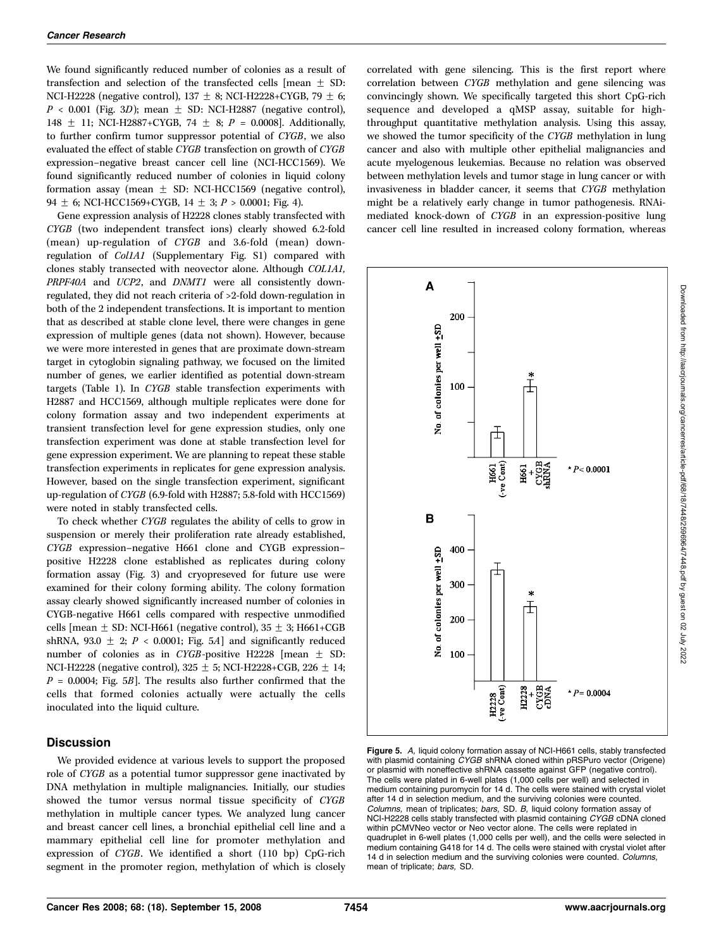We found significantly reduced number of colonies as a result of transfection and selection of the transfected cells  $[mean \pm SD:$ NCI-H2228 (negative control), 137  $\pm$  8; NCI-H2228+CYGB, 79  $\pm$  6;  $P < 0.001$  (Fig. 3D); mean  $\pm$  SD: NCI-H2887 (negative control), 148  $\pm$  11; NCI-H2887+CYGB, 74  $\pm$  8; P = 0.0008]. Additionally, to further confirm tumor suppressor potential of CYGB, we also evaluated the effect of stable CYGB transfection on growth of CYGB expression–negative breast cancer cell line (NCI-HCC1569). We found significantly reduced number of colonies in liquid colony formation assay (mean  $\pm$  SD: NCI-HCC1569 (negative control), 94  $\pm$  6; NCI-HCC1569+CYGB, 14  $\pm$  3; P > 0.0001; Fig. 4).

Gene expression analysis of H2228 clones stably transfected with CYGB (two independent transfect ions) clearly showed 6.2-fold (mean) up-regulation of CYGB and 3.6-fold (mean) downregulation of Col1A1 (Supplementary Fig. S1) compared with clones stably transected with neovector alone. Although COL1A1, PRPF40A and UCP2, and DNMT1 were all consistently downregulated, they did not reach criteria of >2-fold down-regulation in both of the 2 independent transfections. It is important to mention that as described at stable clone level, there were changes in gene expression of multiple genes (data not shown). However, because we were more interested in genes that are proximate down-stream target in cytoglobin signaling pathway, we focused on the limited number of genes, we earlier identified as potential down-stream targets (Table 1). In CYGB stable transfection experiments with H2887 and HCC1569, although multiple replicates were done for colony formation assay and two independent experiments at transient transfection level for gene expression studies, only one transfection experiment was done at stable transfection level for gene expression experiment. We are planning to repeat these stable transfection experiments in replicates for gene expression analysis. However, based on the single transfection experiment, significant up-regulation of CYGB (6.9-fold with H2887; 5.8-fold with HCC1569) were noted in stably transfected cells.

To check whether CYGB regulates the ability of cells to grow in suspension or merely their proliferation rate already established, CYGB expression–negative H661 clone and CYGB expression– positive H2228 clone established as replicates during colony formation assay (Fig. 3) and cryopreseved for future use were examined for their colony forming ability. The colony formation assay clearly showed significantly increased number of colonies in CYGB-negative H661 cells compared with respective unmodified cells [mean  $\pm$  SD: NCI-H661 (negative control), 35  $\pm$  3; H661+CGB shRNA, 93.0  $\pm$  2; P < 0.0001; Fig. 5A] and significantly reduced number of colonies as in CYGB-positive H2228 [mean  $\pm$  SD: NCI-H2228 (negative control),  $325 \pm 5$ ; NCI-H2228+CGB, 226  $\pm$  14;  $P = 0.0004$ ; Fig. 5B. The results also further confirmed that the cells that formed colonies actually were actually the cells inoculated into the liquid culture.

#### **Discussion**

We provided evidence at various levels to support the proposed role of CYGB as a potential tumor suppressor gene inactivated by DNA methylation in multiple malignancies. Initially, our studies showed the tumor versus normal tissue specificity of CYGB methylation in multiple cancer types. We analyzed lung cancer and breast cancer cell lines, a bronchial epithelial cell line and a mammary epithelial cell line for promoter methylation and expression of CYGB. We identified a short (110 bp) CpG-rich segment in the promoter region, methylation of which is closely

correlated with gene silencing. This is the first report where correlation between CYGB methylation and gene silencing was convincingly shown. We specifically targeted this short CpG-rich sequence and developed a qMSP assay, suitable for highthroughput quantitative methylation analysis. Using this assay, we showed the tumor specificity of the CYGB methylation in lung cancer and also with multiple other epithelial malignancies and acute myelogenous leukemias. Because no relation was observed between methylation levels and tumor stage in lung cancer or with invasiveness in bladder cancer, it seems that CYGB methylation might be a relatively early change in tumor pathogenesis. RNAimediated knock-down of CYGB in an expression-positive lung cancer cell line resulted in increased colony formation, whereas



Figure 5. A, liquid colony formation assay of NCI-H661 cells, stably transfected with plasmid containing CYGB shRNA cloned within pRSPuro vector (Origene) or plasmid with noneffective shRNA cassette against GFP (negative control). The cells were plated in 6-well plates (1,000 cells per well) and selected in medium containing puromycin for 14 d. The cells were stained with crystal violet after 14 d in selection medium, and the surviving colonies were counted. Columns, mean of triplicates; bars, SD. B, liquid colony formation assay of NCI-H2228 cells stably transfected with plasmid containing CYGB cDNA cloned within pCMVNeo vector or Neo vector alone. The cells were replated in quadruplet in 6-well plates (1,000 cells per well), and the cells were selected in medium containing G418 for 14 d. The cells were stained with crystal violet after 14 d in selection medium and the surviving colonies were counted. Columns, mean of triplicate; bars, SD.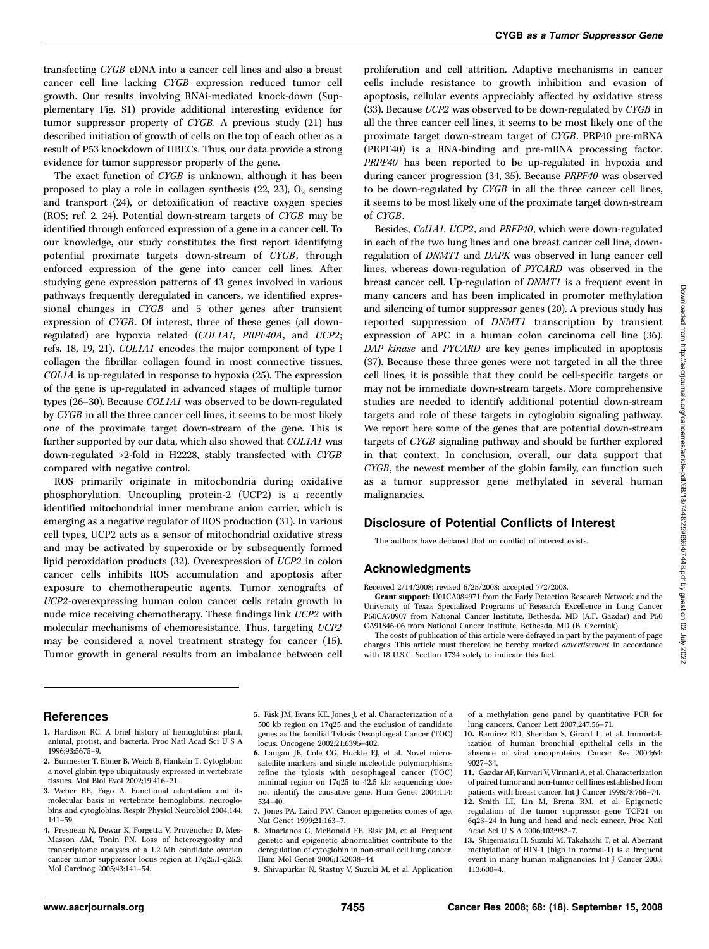transfecting CYGB cDNA into a cancer cell lines and also a breast cancer cell line lacking CYGB expression reduced tumor cell growth. Our results involving RNAi-mediated knock-down (Supplementary Fig. S1) provide additional interesting evidence for tumor suppressor property of CYGB. A previous study (21) has described initiation of growth of cells on the top of each other as a result of P53 knockdown of HBECs. Thus, our data provide a strong evidence for tumor suppressor property of the gene.

The exact function of CYGB is unknown, although it has been proposed to play a role in collagen synthesis  $(22, 23)$ ,  $O<sub>2</sub>$  sensing and transport (24), or detoxification of reactive oxygen species (ROS; ref. 2, 24). Potential down-stream targets of CYGB may be identified through enforced expression of a gene in a cancer cell. To our knowledge, our study constitutes the first report identifying potential proximate targets down-stream of CYGB, through enforced expression of the gene into cancer cell lines. After studying gene expression patterns of 43 genes involved in various pathways frequently deregulated in cancers, we identified expressional changes in CYGB and 5 other genes after transient expression of CYGB. Of interest, three of these genes (all downregulated) are hypoxia related (COL1A1, PRPF40A, and UCP2; refs. 18, 19, 21). COL1A1 encodes the major component of type I collagen the fibrillar collagen found in most connective tissues. COL1A is up-regulated in response to hypoxia (25). The expression of the gene is up-regulated in advanced stages of multiple tumor types (26–30). Because COL1A1 was observed to be down-regulated by CYGB in all the three cancer cell lines, it seems to be most likely one of the proximate target down-stream of the gene. This is further supported by our data, which also showed that COL1A1 was down-regulated >2-fold in H2228, stably transfected with CYGB compared with negative control.

ROS primarily originate in mitochondria during oxidative phosphorylation. Uncoupling protein-2 (UCP2) is a recently identified mitochondrial inner membrane anion carrier, which is emerging as a negative regulator of ROS production (31). In various cell types, UCP2 acts as a sensor of mitochondrial oxidative stress and may be activated by superoxide or by subsequently formed lipid peroxidation products (32). Overexpression of UCP2 in colon cancer cells inhibits ROS accumulation and apoptosis after exposure to chemotherapeutic agents. Tumor xenografts of UCP2-overexpressing human colon cancer cells retain growth in nude mice receiving chemotherapy. These findings link UCP2 with molecular mechanisms of chemoresistance. Thus, targeting UCP2 may be considered a novel treatment strategy for cancer (15). Tumor growth in general results from an imbalance between cell

proliferation and cell attrition. Adaptive mechanisms in cancer cells include resistance to growth inhibition and evasion of apoptosis, cellular events appreciably affected by oxidative stress (33). Because UCP2 was observed to be down-regulated by CYGB in all the three cancer cell lines, it seems to be most likely one of the proximate target down-stream target of CYGB. PRP40 pre-mRNA (PRPF40) is a RNA-binding and pre-mRNA processing factor. PRPF40 has been reported to be up-regulated in hypoxia and during cancer progression (34, 35). Because PRPF40 was observed to be down-regulated by CYGB in all the three cancer cell lines, it seems to be most likely one of the proximate target down-stream of CYGB.

Besides, Col1A1, UCP2, and PRFP40, which were down-regulated in each of the two lung lines and one breast cancer cell line, downregulation of DNMT1 and DAPK was observed in lung cancer cell lines, whereas down-regulation of PYCARD was observed in the breast cancer cell. Up-regulation of DNMT1 is a frequent event in many cancers and has been implicated in promoter methylation and silencing of tumor suppressor genes (20). A previous study has reported suppression of DNMT1 transcription by transient expression of APC in a human colon carcinoma cell line (36). DAP kinase and PYCARD are key genes implicated in apoptosis (37). Because these three genes were not targeted in all the three cell lines, it is possible that they could be cell-specific targets or may not be immediate down-stream targets. More comprehensive studies are needed to identify additional potential down-stream targets and role of these targets in cytoglobin signaling pathway. We report here some of the genes that are potential down-stream targets of CYGB signaling pathway and should be further explored in that context. In conclusion, overall, our data support that CYGB, the newest member of the globin family, can function such as a tumor suppressor gene methylated in several human malignancies.

## Disclosure of Potential Conflicts of Interest

The authors have declared that no conflict of interest exists.

## Acknowledgments

Received 2/14/2008; revised 6/25/2008; accepted 7/2/2008.

Grant support: U01CA084971 from the Early Detection Research Network and the University of Texas Specialized Programs of Research Excellence in Lung Cancer P50CA70907 from National Cancer Institute, Bethesda, MD (A.F. Gazdar) and P50 CA91846-06 from National Cancer Institute, Bethesda, MD (B. Czerniak).

The costs of publication of this article were defrayed in part by the payment of page charges. This article must therefore be hereby marked advertisement in accordance with 18 U.S.C. Section 1734 solely to indicate this fact.

#### References

- 1. Hardison RC. A brief history of hemoglobins: plant, animal, protist, and bacteria. Proc Natl Acad Sci U S A 1996;93:5675–9.
- 2. Burmester T, Ebner B, Weich B, Hankeln T. Cytoglobin: a novel globin type ubiquitously expressed in vertebrate tissues. Mol Biol Evol 2002;19:416–21.
- 3. Weber RE, Fago A. Functional adaptation and its molecular basis in vertebrate hemoglobins, neuroglobins and cytoglobins. Respir Physiol Neurobiol 2004;144: 141–59.
- 4. Presneau N, Dewar K, Forgetta V, Provencher D, Mes-Masson AM, Tonin PN. Loss of heterozygosity and transcriptome analyses of a 1.2 Mb candidate ovarian cancer tumor suppressor locus region at 17q25.1-q25.2. Mol Carcinog 2005;43:141–54.
- 5. Risk JM, Evans KE, Jones J, et al. Characterization of a 500 kb region on 17q25 and the exclusion of candidate genes as the familial Tylosis Oesophageal Cancer (TOC) locus. Oncogene 2002;21:6395–402.
- 6. Langan JE, Cole CG, Huckle EJ, et al. Novel microsatellite markers and single nucleotide polymorphisms refine the tylosis with oesophageal cancer (TOC) minimal region on 17q25 to 42.5 kb: sequencing does not identify the causative gene. Hum Genet 2004;114: 534–40.
- 7. Jones PA, Laird PW. Cancer epigenetics comes of age. Nat Genet 1999;21:163–7.

8. Xinarianos G, McRonald FE, Risk JM, et al. Frequent genetic and epigenetic abnormalities contribute to the deregulation of cytoglobin in non-small cell lung cancer. Hum Mol Genet 2006;15:2038–44.

9. Shivapurkar N, Stastny V, Suzuki M, et al. Application

of a methylation gene panel by quantitative PCR for lung cancers. Cancer Lett 2007;247:56–71.

- 10. Ramirez RD, Sheridan S, Girard L, et al. Immortalization of human bronchial epithelial cells in the absence of viral oncoproteins. Cancer Res 2004;64: 9027–34.
- 11. Gazdar AF, Kurvari V, Virmani A, et al. Characterization of paired tumor and non-tumor cell lines established from patients with breast cancer. Int J Cancer 1998;78:766–74. 12. Smith LT, Lin M, Brena RM, et al. Epigenetic regulation of the tumor suppressor gene TCF21 on 6q23–24in lung and head and neck cancer. Proc Natl Acad Sci U S A 2006;103:982–7.
- 13. Shigematsu H, Suzuki M, Takahashi T, et al. Aberrant methylation of HIN-1 (high in normal-1) is a frequent event in many human malignancies. Int J Cancer 2005; 113:600–4.